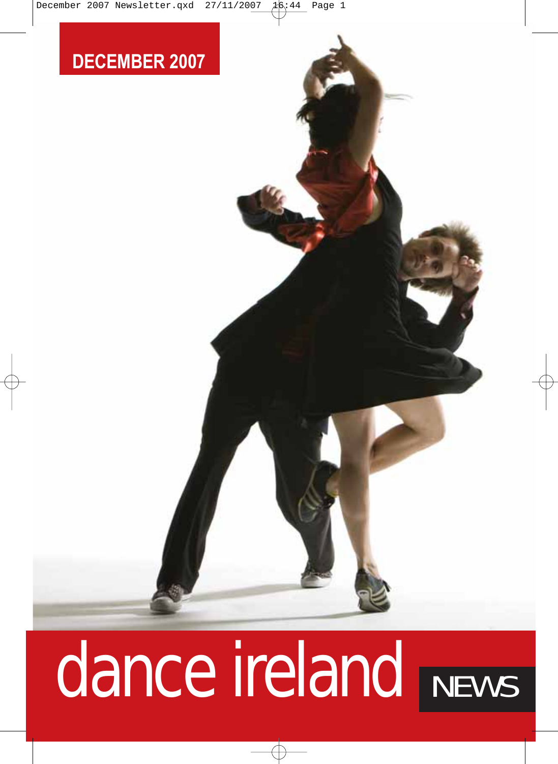

# dance ireland NEWS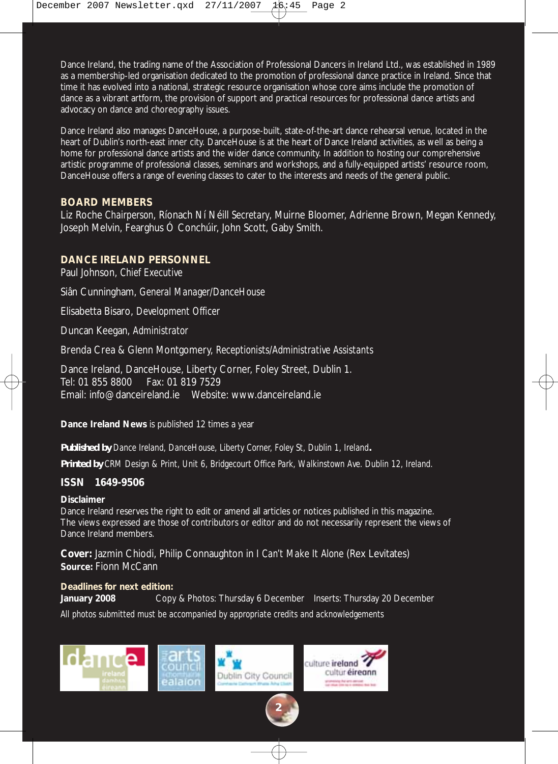Dance Ireland, the trading name of the Association of Professional Dancers in Ireland Ltd., was established in 1989 as a membership-led organisation dedicated to the promotion of professional dance practice in Ireland. Since that time it has evolved into a national, strategic resource organisation whose core aims include the promotion of dance as a vibrant artform, the provision of support and practical resources for professional dance artists and advocacy on dance and choreography issues.

Dance Ireland also manages DanceHouse, a purpose-built, state-of-the-art dance rehearsal venue, located in the heart of Dublin's north-east inner city. DanceHouse is at the heart of Dance Ireland activities, as well as being a home for professional dance artists and the wider dance community. In addition to hosting our comprehensive artistic programme of professional classes, seminars and workshops, and a fully-equipped artists' resource room, DanceHouse offers a range of evening classes to cater to the interests and needs of the general public.

#### **BOARD MEMBERS**

Liz Roche *Chairperson*, Ríonach Ní Néill *Secretary*, Muirne Bloomer, Adrienne Brown, Megan Kennedy, Joseph Melvin, Fearghus Ó Conchúir, John Scott, Gaby Smith.

#### **DANCE IRELAND PERSONNEL**

Paul Johnson, *Chief Executive*

Siân Cunningham, *General Manager/DanceHouse* 

Elisabetta Bisaro, *Development Officer*

Duncan Keegan, *Administrator* 

Brenda Crea & Glenn Montgomery, *Receptionists/Administrative Assistants* 

Dance Ireland, DanceHouse, Liberty Corner, Foley Street, Dublin 1. Tel: 01 855 8800 Fax: 01 819 7529 Email: info@danceireland.ie Website: www.danceireland.ie

**Dance Ireland News** is published 12 times a year

*Published by Dance Ireland, DanceHouse, Liberty Corner, Foley St, Dublin 1, Ireland.*

*Printed by CRM Design & Print, Unit 6, Bridgecourt Office Park, Walkinstown Ave. Dublin 12, Ireland.*

#### **ISSN 1649-9506**

#### **Disclaimer**

Dance Ireland reserves the right to edit or amend all articles or notices published in this magazine. The views expressed are those of contributors or editor and do not necessarily represent the views of Dance Ireland members.

**Cover:** Jazmin Chiodi, Philip Connaughton in *I Can't Make It Alone* (Rex Levitates) **Source:** Fionn McCann

#### **Deadlines for next edition:**

**January 2008** Copy & Photos: Thursday 6 December Inserts: Thursday 20 December *All photos submitted must be accompanied by appropriate credits and acknowledgements*

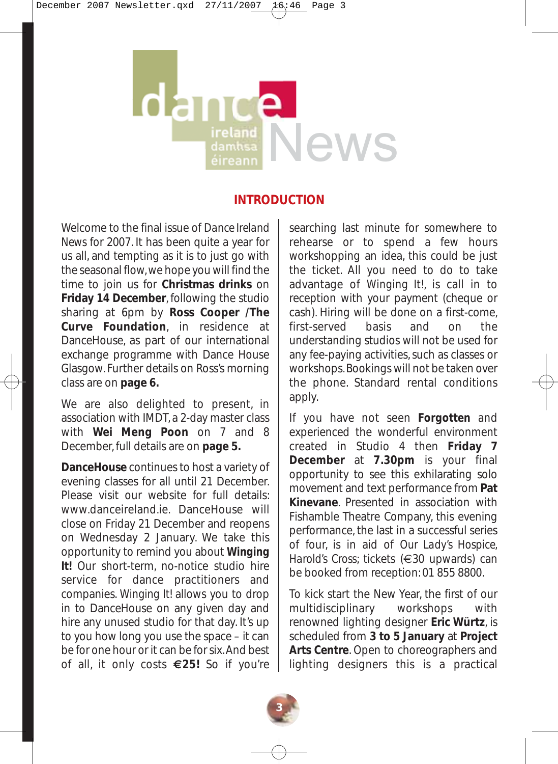# News éireanr

#### **INTRODUCTION**

Welcome to the final issue of *Dance Ireland News* for 2007. It has been quite a year for us all, and tempting as it is to just go with the seasonal flow, we hope you will find the time to join us for **Christmas drinks** on **Friday 14 December**, following the studio sharing at 6pm by **Ross Cooper /The Curve Foundation**, in residence at DanceHouse, as part of our international exchange programme with Dance House Glasgow. Further details on Ross's morning class are on **page 6.**

We are also delighted to present, in association with IMDT, a 2-day master class with **Wei Meng Poon** on 7 and 8 December, full details are on **page 5.**

**DanceHouse** continues to host a variety of evening classes for all until 21 December. Please visit our website for full details: www.danceireland.ie. DanceHouse will close on Friday 21 December and reopens on Wednesday 2 January. We take this opportunity to remind you about *Winging It!* Our short-term, no-notice studio hire service for dance practitioners and companies. *Winging It!* allows you to drop in to DanceHouse on any given day and hire any unused studio for that day. It's up to you how long you use the space – it can be for one hour or it can be for six. And best of all, it only costs **€25!** So if you're

searching last minute for somewhere to rehearse or to spend a few hours workshopping an idea, this could be just the ticket. All you need to do to take advantage of *Winging It!*, is call in to reception with your payment (cheque or cash). Hiring will be done on a first-come, first-served basis and on the understanding studios will not be used for any fee-paying activities, such as classes or workshops. Bookings will not be taken over the phone. Standard rental conditions apply.

If you have not seen *Forgotten* and experienced the wonderful environment created in Studio 4 then **Friday 7 December** at **7.30pm** is your final opportunity to see this exhilarating solo movement and text performance from **Pat Kinevane**. Presented in association with Fishamble Theatre Company, this evening performance, the last in a successful series of four, is in aid of *Our Lady's Hospice, Harold's Cross*; tickets (€30 upwards) can be booked from reception: 01 855 8800.

To kick start the New Year, the first of our multidisciplinary workshops with renowned lighting designer **Eric Würtz**, is scheduled from **3 to 5 January** at **Project Arts Centre**. Open to choreographers and lighting designers this is a practical

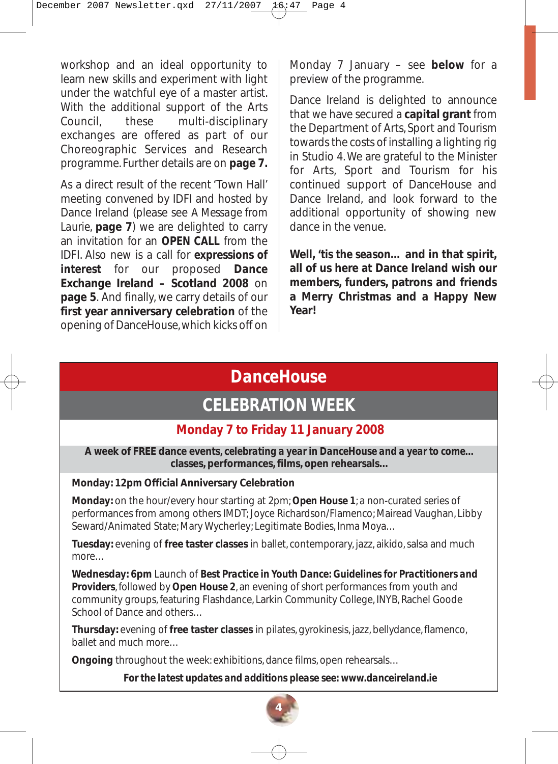workshop and an ideal opportunity to learn new skills and experiment with light under the watchful eye of a master artist. With the additional support of the Arts Council, these multi-disciplinary exchanges are offered as part of our Choreographic Services and Research programme. Further details are on **page 7.**

As a direct result of the recent 'Town Hall' meeting convened by IDFI and hosted by Dance Ireland (please see *A Message from Laurie*, **page 7**) we are delighted to carry an invitation for an *OPEN CALL* from the IDFI. Also new is a call for *expressions of interest* for our proposed **Dance Exchange Ireland – Scotland 2008** on **page 5**. And finally, we carry details of our **first year anniversary celebration** of the opening of DanceHouse, which kicks off on

Monday 7 January – see **below** for a preview of the programme.

Dance Ireland is delighted to announce that we have secured a **capital grant** from the Department of Arts, Sport and Tourism towards the costs of installing a lighting rig in Studio 4. We are grateful to the Minister for Arts, Sport and Tourism for his continued support of DanceHouse and Dance Ireland, and look forward to the additional opportunity of showing new dance in the venue.

**Well,** *'tis the season…* **and in that spirit, all of us here at Dance Ireland wish our members, funders, patrons and friends a Merry Christmas and a Happy New Year!** 

# *DanceHouse*

# *CELEBRATION WEEK*

# **Monday 7 to Friday 11 January 2008**

**A week of FREE dance events, c***elebrating a year in DanceHouse and a year to come…* **classes, performances, films, open rehearsals…** 

#### **Monday: 12pm Official Anniversary Celebration**

**Monday:** on the hour/every hour starting at 2pm; *Open House 1*; a non-curated series of performances from among others IMDT; Joyce Richardson/Flamenco; Mairead Vaughan, Libby Seward/Animated State; Mary Wycherley; Legitimate Bodies, Inma Moya…

**Tuesday:** evening of **free taster classes** in ballet, contemporary, jazz, aikido, salsa and much more…

**Wednesday: 6pm** Launch of *Best Practice in Youth Dance: Guidelines for Practitioners and Providers,*followed by *Open House 2,* an evening of *short* performances from youth and community groups, featuring Flashdance, Larkin Community College, INYB, Rachel Goode School of Dance and others…

**Thursday:** evening of **free taster classes** in pilates, gyrokinesis, jazz, bellydance, flamenco, ballet and much more…

**Ongoing** throughout the week: exhibitions, dance films, open rehearsals…

*For the latest updates and additions please see: www.danceireland.ie*

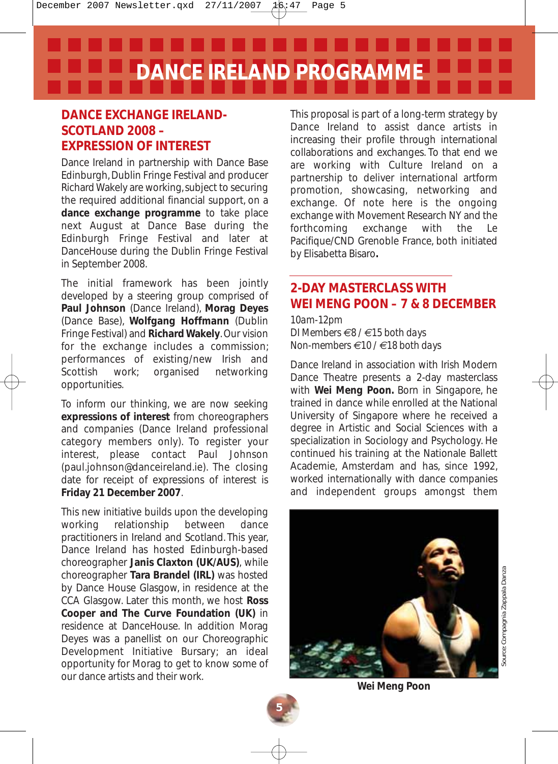**DANCE IRELAND PROGRAMME**

# **DANCE EXCHANGE IRELAND-SCOTLAND 2008 – EXPRESSION OF INTEREST**

Dance Ireland in partnership with Dance Base Edinburgh, Dublin Fringe Festival and producer Richard Wakely are working, subject to securing the required additional financial support, on a **dance exchange programme** to take place next August at Dance Base during the Edinburgh Fringe Festival and later at DanceHouse during the Dublin Fringe Festival in September 2008.

The initial framework has been jointly developed by a steering group comprised of **Paul Johnson** (Dance Ireland), **Morag Deyes** (Dance Base), **Wolfgang Hoffmann** (Dublin Fringe Festival) and **Richard Wakely**. Our vision for the exchange includes a commission; performances of existing/new Irish and Scottish work; organised networking opportunities.

To inform our thinking, we are now seeking **expressions of interest** from choreographers and companies (Dance Ireland professional category members only). To register your interest, please contact Paul Johnson (paul.johnson@danceireland.ie). The closing date for receipt of expressions of interest is **Friday 21 December 2007**.

This new initiative builds upon the developing working relationship between dance practitioners in Ireland and Scotland. This year, Dance Ireland has hosted Edinburgh-based choreographer **Janis Claxton (UK/AUS)**, while choreographer **Tara Brandel (IRL)** was hosted by Dance House Glasgow, in residence at the CCA Glasgow. Later this month, we host **Ross Cooper and The Curve Foundation (UK)** in residence at DanceHouse. In addition Morag Deyes was a panellist on our Choreographic Development Initiative Bursary; an ideal opportunity for Morag to get to know some of our dance artists and their work.

This proposal is part of a long-term strategy by Dance Ireland to assist dance artists in increasing their profile through international collaborations and exchanges. To that end we are working with Culture Ireland on a partnership to deliver international artform promotion, showcasing, networking and exchange. Of note here is the ongoing exchange with Movement Research NY and the forthcoming exchange with the Le Pacifique/CND Grenoble France, both initiated by Elisabetta Bisaro**.**

#### **2-DAY MASTERCLASS WITH WEI MENG POON – 7 & 8 DECEMBER**

#### *10am-12pm DI Members €8 / €15 both days Non-members €10 / €18 both days*

Dance Ireland in association with Irish Modern Dance Theatre presents a 2-day masterclass with **Wei Meng Poon.** Born in Singapore, he trained in dance while enrolled at the National University of Singapore where he received a degree in Artistic and Social Sciences with a specialization in Sociology and Psychology. He continued his training at the Nationale Ballett Academie, Amsterdam and has, since 1992, worked internationally with dance companies and independent groups amongst them



**Wei Meng Poon**

**5**

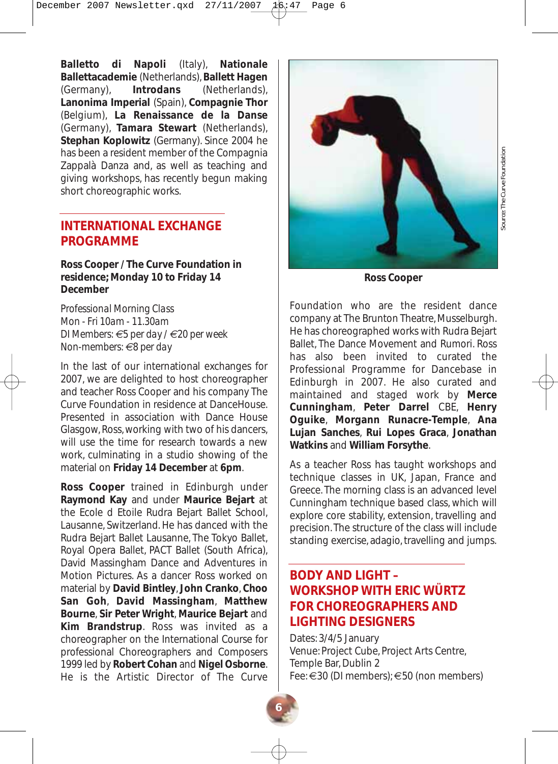**Balletto di Napoli** (Italy), **Nationale Ballettacademie** (Netherlands), **Ballett Hagen** (Germany), **Introdans** (Netherlands), **Lanonima Imperial** (Spain), **Compagnie Thor** (Belgium), **La Renaissance de la Danse** (Germany), **Tamara Stewart** (Netherlands), **Stephan Koplowitz** (Germany). Since 2004 he has been a resident member of the Compagnia Zappalà Danza and, as well as teaching and giving workshops, has recently begun making short choreographic works.

#### **INTERNATIONAL EXCHANGE PROGRAMME**

#### **Ross Cooper / The Curve Foundation in residence; Monday 10 to Friday 14 December**

*Professional Morning Class Mon - Fri 10am - 11.30am DI Members: €5 per day / €20 per week Non-members: €8 per day*

In the last of our international exchanges for 2007, we are delighted to host choreographer and teacher Ross Cooper and his company The Curve Foundation in residence at DanceHouse. Presented in association with Dance House Glasgow, Ross, working with two of his dancers, will use the time for research towards a new work, culminating in a studio showing of the material on **Friday 14 December** at **6pm**.

**Ross Cooper** trained in Edinburgh under **Raymond Kay** and under **Maurice Bejart** at the Ecole d Etoile Rudra Bejart Ballet School, Lausanne, Switzerland. He has danced with the Rudra Bejart Ballet Lausanne, The Tokyo Ballet, Royal Opera Ballet, PACT Ballet (South Africa), David Massingham Dance and Adventures in Motion Pictures. As a dancer Ross worked on material by **David Bintley**, **John Cranko**, **Choo San Goh**, **David Massingham**, **Matthew Bourne**, **Sir Peter Wright**, **Maurice Bejart** and **Kim Brandstrup**. Ross was invited as a choreographer on the International Course for professional Choreographers and Composers 1999 led by **Robert Cohan** and **Nigel Osborne**. He is the Artistic Director of The Curve



*Source: The Curve Foundation* Source: The Curve Foundation

**Ross Cooper**

Foundation who are the resident dance company at The Brunton Theatre, Musselburgh. He has choreographed works with Rudra Bejart Ballet, The Dance Movement and Rumori. Ross has also been invited to curated the Professional Programme for Dancebase in Edinburgh in 2007. He also curated and maintained and staged work by **Merce Cunningham**, **Peter Darrel** CBE, **Henry Oguike**, **Morgann Runacre-Temple**, **Ana Lujan Sanches**, **Rui Lopes Graca**, **Jonathan Watkins** and **William Forsythe**.

As a teacher Ross has taught workshops and technique classes in UK, Japan, France and Greece. The morning class is an advanced level Cunningham technique based class, which will explore core stability, extension, travelling and precision. The structure of the class will include standing exercise, adagio, travelling and jumps.

# **BODY AND LIGHT – WORKSHOP WITH ERIC WÜRTZ FOR CHOREOGRAPHERS AND LIGHTING DESIGNERS**

Dates: 3/4/5 January Venue: Project Cube, Project Arts Centre, Temple Bar, Dublin 2 Fee: €30 (DI members); €50 (non members)

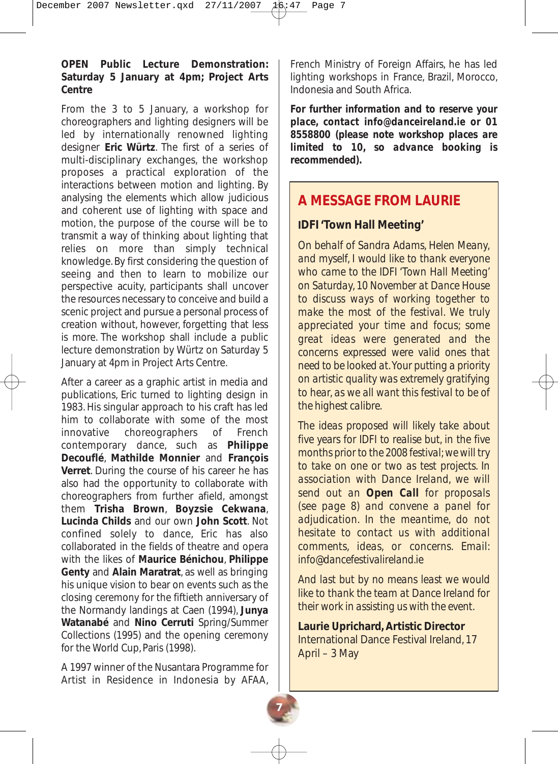#### **OPEN Public Lecture Demonstration: Saturday 5 January at 4pm; Project Arts Centre**

From the 3 to 5 January, a workshop for choreographers and lighting designers will be led by internationally renowned lighting designer **Eric Würtz**. The first of a series of multi-disciplinary exchanges, the workshop proposes a practical exploration of the interactions between motion and lighting. By analysing the elements which allow judicious and coherent use of lighting with space and motion, the purpose of the course will be to transmit a way of thinking about lighting that relies on more than simply technical knowledge. By first considering the question of seeing and then to learn to mobilize our perspective acuity, participants shall uncover the resources necessary to conceive and build a scenic project and pursue a personal process of creation without, however, forgetting that less is more. The workshop shall include a public lecture demonstration by Würtz on Saturday 5 January at 4pm in Project Arts Centre.

After a career as a graphic artist in media and publications, Eric turned to lighting design in 1983. His singular approach to his craft has led him to collaborate with some of the most innovative choreographers of French contemporary dance, such as **Philippe Decouflé**, **Mathilde Monnier** and **François Verret**. During the course of his career he has also had the opportunity to collaborate with choreographers from further afield, amongst them **Trisha Brown**, **Boyzsie Cekwana**, **Lucinda Childs** and our own **John Scott**. Not confined solely to dance, Eric has also collaborated in the fields of theatre and opera with the likes of **Maurice Bénichou**, **Philippe Genty** and **Alain Maratrat**, as well as bringing his unique vision to bear on events such as the closing ceremony for the fiftieth anniversary of the Normandy landings at Caen (1994), **Junya Watanabé** and **Nino Cerruti** Spring/Summer Collections (1995) and the opening ceremony for the World Cup, Paris (1998).

A 1997 winner of the Nusantara Programme for Artist in Residence in Indonesia by AFAA,

French Ministry of Foreign Affairs, he has led lighting workshops in France, Brazil, Morocco, Indonesia and South Africa.

*For further information and to reserve your place, contact info@danceireland.ie or 01 8558800 (please note workshop places are limited to 10, so advance booking is recommended).*

# **A MESSAGE FROM LAURIE**

#### **IDFI 'Town Hall Meeting'**

*On behalf of Sandra Adams, Helen Meany, and myself, I would like to thank everyone who came to the IDFI 'Town Hall Meeting' on Saturday, 10 November at Dance House to discuss ways of working together to make the most of the festival. We truly appreciated your time and focus; some great ideas were generated and the concerns expressed were valid ones that need to be looked at. Your putting a priority on artistic quality was extremely gratifying to hear, as we all want this festival to be of the highest calibre.*

*The ideas proposed will likely take about five years for IDFI to realise but, in the five months prior to the 2008 festival; we will try to take on one or two as test projects. In association with Dance Ireland, we will send out an Open Call for proposals (see page 8) and convene a panel for adjudication. In the meantime, do not hesitate to contact us with additional comments, ideas, or concerns. Email: info@dancefestivalireland.ie* 

*And last but by no means least we would like to thank the team at Dance Ireland for their work in assisting us with the event.*

**Laurie Uprichard, Artistic Director** International Dance Festival Ireland, 17 April – 3 May

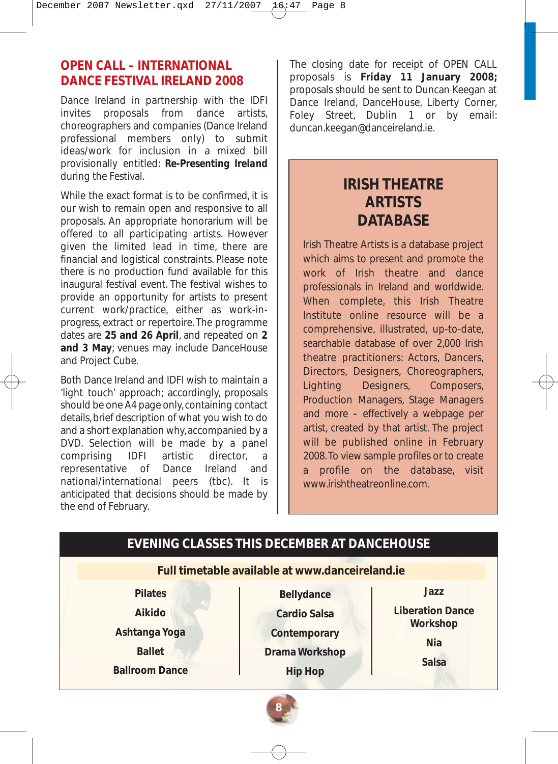# **OPEN CALL – INTERNATIONAL DANCE FESTIVAL IRELAND 2008**

Dance Ireland in partnership with the IDFI invites proposals from dance artists, choreographers and companies (Dance Ireland professional members only) to submit ideas/work for inclusion in a mixed bill provisionally entitled: *Re-Presenting Ireland* during the Festival.

While the exact format is to be confirmed, it is our wish to remain open and responsive to all proposals. An appropriate honorarium will be offered to all participating artists. However given the limited lead in time, there are financial and logistical constraints. Please note there is no production fund available for this inaugural festival event. The festival wishes to provide an opportunity for artists to present current work/practice, either as work-inprogress, extract or repertoire. The programme dates are **25 and 26 April**, and repeated on **2 and 3 May**; venues may include DanceHouse and Project Cube.

Both Dance Ireland and IDFI wish to maintain a 'light touch' approach; accordingly, proposals should be one A4 page only, containing contact details, brief description of what you wish to do and a short explanation why, accompanied by a DVD. Selection will be made by a panel comprising IDFI artistic director, a representative of Dance Ireland and national/international peers (tbc). It is anticipated that decisions should be made by the end of February.

The closing date for receipt of OPEN CALL proposals is **Friday 11 January 2008;** proposals should be sent to Duncan Keegan at Dance Ireland, DanceHouse, Liberty Corner, Foley Street, Dublin 1 or by email: duncan.keegan@danceireland.ie.

# **IRISH THEATRE ARTISTS DATABASE**

Irish Theatre Artists is a database project which aims to present and promote the work of Irish theatre and dance professionals in Ireland and worldwide. When complete, this Irish Theatre Institute online resource will be a comprehensive, illustrated, up-to-date, searchable database of over 2,000 Irish theatre practitioners: Actors, Dancers, Directors, Designers, Choreographers, Lighting Designers, Composers, Production Managers, Stage Managers and more – effectively a webpage per artist, created by that artist. The project will be published online in February 2008. To view sample profiles or to create a profile on the database, visit www.irishtheatreonline.com.

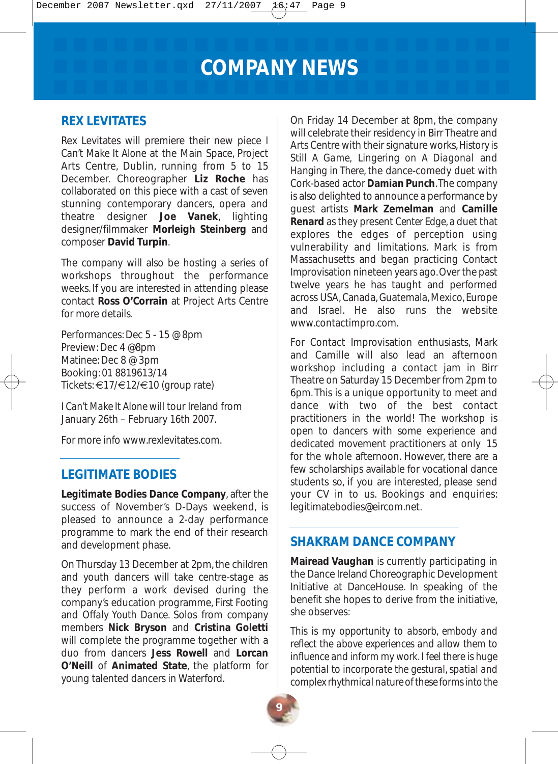**COMPANY NEWS**

#### **REX LEVITATES**

Rex Levitates will premiere their new piece *I Can't Make It Alone* at the Main Space, Project Arts Centre, Dublin, running from 5 to 15 December. Choreographer **Liz Roche** has collaborated on this piece with a cast of seven stunning contemporary dancers, opera and theatre designer **Joe Vanek**, lighting designer/filmmaker **Morleigh Steinberg** and composer **David Turpin**.

The company will also be hosting a series of workshops throughout the performance weeks. If you are interested in attending please contact **Ross O'Corrain** at Project Arts Centre for more details.

Performances: Dec 5 - 15 @ 8pm Preview: Dec 4 @8pm Matinee: Dec 8 @ 3pm Booking: 01 8819613/14 Tickets: €17/€12/€10 (group rate)

*I Can't Make It Alone* will tour Ireland from January 26th – February 16th 2007.

For more info www.rexlevitates.com.

#### **LEGITIMATE BODIES**

**Legitimate Bodies Dance Company**, after the success of November's D-Days weekend, is pleased to announce a 2-day performance programme to mark the end of their research and development phase.

On Thursday 13 December at 2pm, the children and youth dancers will take centre-stage as they perform a work devised during the company's education programme, *First Footing* and *Offaly Youth Dance*. Solos from company members **Nick Bryson** and **Cristina Goletti** will complete the programme together with a duo from dancers **Jess Rowell** and **Lorcan O'Neill** of **Animated State**, the platform for young talented dancers in Waterford.

On Friday 14 December at 8pm, the company will celebrate their residency in Birr Theatre and Arts Centre with their signature works,*History is Still A Game, Lingering on A Diagonal* and *Hanging in There*, the dance-comedy duet with Cork-based actor **Damian Punch**.The company is also delighted to announce a performance by guest artists **Mark Zemelman** and **Camille Renard** as they present *Center Edge*, a duet that explores the edges of perception using vulnerability and limitations. Mark is from Massachusetts and began practicing Contact Improvisation nineteen years ago. Over the past twelve years he has taught and performed across USA, Canada, Guatemala, Mexico, Europe and Israel. He also runs the website www.contactimpro.com.

For Contact Improvisation enthusiasts, Mark and Camille will also lead an afternoon workshop including a contact jam in Birr Theatre on Saturday 15 December from 2pm to 6pm. This is a unique opportunity to meet and dance with two of the best contact practitioners in the world! The workshop is open to dancers with some experience and dedicated movement practitioners at only 15 for the whole afternoon. However, there are a few scholarships available for vocational dance students so, if you are interested, please send your CV in to us. Bookings and enquiries: legitimatebodies@eircom.net.

#### **SHAKRAM DANCE COMPANY**

**Mairead Vaughan** is currently participating in the Dance Ireland Choreographic Development Initiative at DanceHouse. In speaking of the benefit she hopes to derive from the initiative, she observes:

*This is my opportunity to absorb, embody and reflect the above experiences and allow them to influence and inform my work. I feel there is huge potential to incorporate the gestural, spatial and complex rhythmical nature of these forms into the*

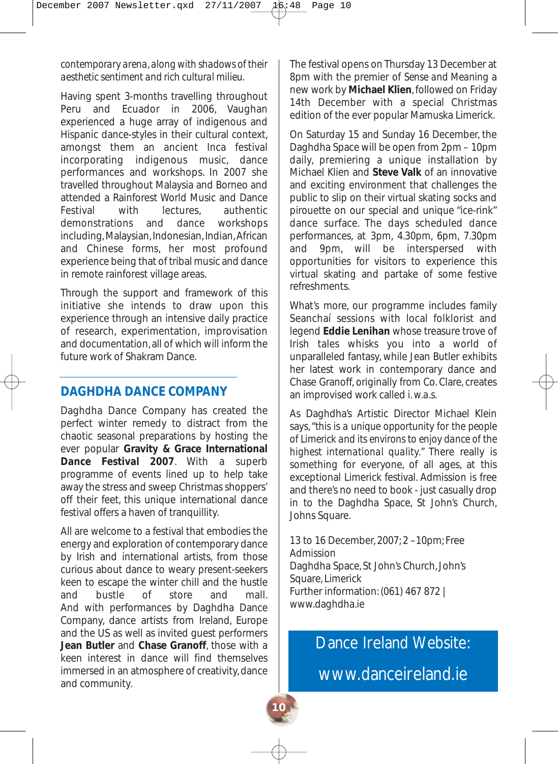#### *contemporary arena, along with shadows of their aesthetic sentiment and rich cultural milieu.*

Having spent 3-months travelling throughout Peru and Ecuador in 2006, Vaughan experienced a huge array of indigenous and Hispanic dance-styles in their cultural context, amongst them an ancient Inca festival incorporating indigenous music, dance performances and workshops. In 2007 she travelled throughout Malaysia and Borneo and attended a Rainforest World Music and Dance Festival with lectures authentic demonstrations and dance workshops including, Malaysian, Indonesian, Indian, African and Chinese forms, her most profound experience being that of tribal music and dance in remote rainforest village areas.

Through the support and framework of this initiative she intends to draw upon this experience through an intensive daily practice of research, experimentation, improvisation and documentation, all of which will inform the future work of Shakram Dance.

#### **DAGHDHA DANCE COMPANY**

Daghdha Dance Company has created the perfect winter remedy to distract from the chaotic seasonal preparations by hosting the ever popular **Gravity & Grace International Dance Festival 2007**. With a superb programme of events lined up to help take away the stress and sweep Christmas shoppers' off their feet, this unique international dance festival offers a haven of tranquillity.

All are welcome to a festival that embodies the energy and exploration of contemporary dance by Irish and international artists, from those curious about dance to weary present-seekers keen to escape the winter chill and the hustle and bustle of store and mall. And with performances by Daghdha Dance Company, dance artists from Ireland, Europe and the US as well as invited guest performers **Jean Butler** and **Chase Granoff**, those with a keen interest in dance will find themselves immersed in an atmosphere of creativity, dance and community.

The festival opens on Thursday 13 December at 8pm with the premier of *Sense and Meaning* a new work by **Michael Klien**, followed on Friday 14th December with a special Christmas edition of the ever popular Mamuska Limerick.

On Saturday 15 and Sunday 16 December, the Daghdha Space will be open from 2pm – 10pm daily, premiering a unique installation by Michael Klien and **Steve Valk** of an innovative and exciting environment that challenges the public to slip on their virtual skating socks and pirouette on our special and unique "ice-rink" dance surface. The days scheduled dance performances, at 3pm, 4.30pm, 6pm, 7.30pm and 9pm, will be interspersed with opportunities for visitors to experience this virtual skating and partake of some festive refreshments.

What's more, our programme includes family Seanchaí sessions with local folklorist and legend **Eddie Lenihan** whose treasure trove of Irish tales whisks you into a world of unparalleled fantasy, while Jean Butler exhibits her latest work in contemporary dance and Chase Granoff, originally from Co. Clare, creates an improvised work called *i. w.a.s.*

As Daghdha's Artistic Director Michael Klein says, "*this is a unique opportunity for the people of Limerick and its environs to enjoy dance of the highest international quality.*" There really is something for everyone, of all ages, at this exceptional Limerick festival. Admission is free and there's no need to book - just casually drop in to the Daghdha Space, St John's Church, Johns Square.

13 to 16 December, 2007; 2 –10pm; Free Admission Daghdha Space, St John's Church, John's Square, Limerick Further information: (061) 467 872 | www.daghdha.ie

Dance Ireland Website:

www.danceireland.ie

**10**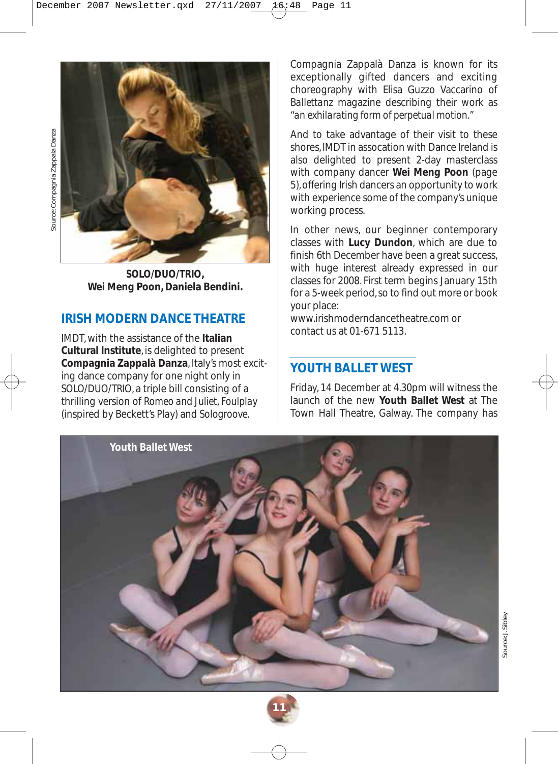



*SOLO/DUO/TRIO***, Wei Meng Poon, Daniela Bendini.**

# **IRISH MODERN DANCE THEATRE**

IMDT, with the assistance of the **Italian Cultural Institute**, is delighted to present **Compagnia Zappalà Danza**, Italy's most exciting dance company for one night only in *SOLO/DUO/TRIO*, a triple bill consisting of a thrilling version of *Romeo and Juliet*, *Foulplay* (inspired by Beckett's *Play*) and *Sologroove*.

Compagnia Zappalà Danza is known for its exceptionally gifted dancers and exciting choreography with Elisa Guzzo Vaccarino of *Ballettanz* magazine describing their work as "*an exhilarating form of perpetual motion."*

And to take advantage of their visit to these shores, IMDT in assocation with Dance Ireland is also delighted to present 2-day masterclass with company dancer **Wei Meng Poon** (page 5), offering Irish dancers an opportunity to work with experience some of the company's unique working process.

In other news, our beginner contemporary classes with **Lucy Dundon**, which are due to finish 6th December have been a great success, with huge interest already expressed in our classes for 2008. First term begins January 15th for a 5-week period, so to find out more or book your place:

www.irishmoderndancetheatre.com or contact us at 01-671 5113.

# **YOUTH BALLET WEST**

Friday, 14 December at 4.30pm will witness the launch of the new **Youth Ballet West** at The Town Hall Theatre, Galway. The company has



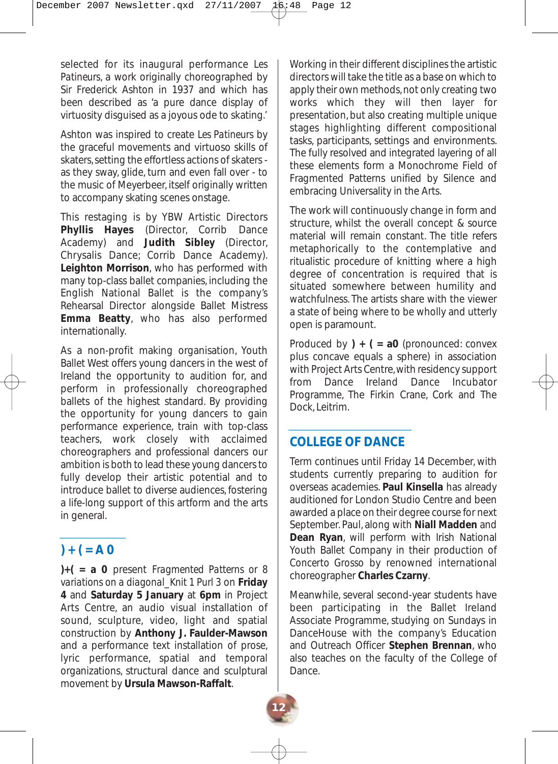selected for its inaugural performance *Les Patineurs*, a work originally choreographed by Sir Frederick Ashton in 1937 and which has been described as 'a pure dance display of virtuosity disguised as a joyous ode to skating.'

Ashton was inspired to create *Les Patineurs* by the graceful movements and virtuoso skills of skaters, setting the effortless actions of skaters as they sway, glide, turn and even fall over - to the music of Meyerbeer, itself originally written to accompany skating scenes onstage.

This restaging is by YBW Artistic Directors **Phyllis Hayes** (Director, Corrib Dance Academy) and **Judith Sibley** (Director, Chrysalis Dance; Corrib Dance Academy). **Leighton Morrison**, who has performed with many top-class ballet companies, including the English National Ballet is the company's Rehearsal Director alongside Ballet Mistress **Emma Beatty**, who has also performed internationally.

As a non-profit making organisation, Youth Ballet West offers young dancers in the west of Ireland the opportunity to audition for, and perform in professionally choreographed ballets of the highest standard. By providing the opportunity for young dancers to gain performance experience, train with top-class teachers, work closely with acclaimed choreographers and professional dancers our ambition is both to lead these young dancers to fully develop their artistic potential and to introduce ballet to diverse audiences, fostering a life-long support of this artform and the arts in general.

# $) + ( = A 0$

**)+( = a 0** present *Fragmented Patterns or 8 variations on a diagonal\_Knit 1 Purl 3* on **Friday 4** and **Saturday 5 January** at **6pm** in Project Arts Centre, an audio visual installation of sound, sculpture, video, light and spatial construction by **Anthony J. Faulder-Mawson** and a performance text installation of prose, lyric performance, spatial and temporal organizations, structural dance and sculptural movement by **Ursula Mawson-Raffalt**.

Working in their different disciplines the artistic directors will take the title as a base on which to apply their own methods, not only creating two works which they will then layer for presentation, but also creating multiple unique stages highlighting different compositional tasks, participants, settings and environments. The fully resolved and integrated layering of all these elements form a Monochrome Field of Fragmented Patterns unified by Silence and embracing Universality in the Arts.

The work will continuously change in form and structure, whilst the overall concept & source material will remain constant. The title refers metaphorically to the contemplative and ritualistic procedure of knitting where a high degree of concentration is required that is situated somewhere between humility and watchfulness. The artists share with the viewer a state of being where to be wholly and utterly open is paramount.

Produced by **) + ( = a0** (pronounced: convex plus concave equals a sphere) in association with Project Arts Centre, with residency support from Dance Ireland Dance Incubator Programme, The Firkin Crane, Cork and The Dock, Leitrim.

#### **COLLEGE OF DANCE**

**12**

Term continues until Friday 14 December, with students currently preparing to audition for overseas academies. **Paul Kinsella** has already auditioned for London Studio Centre and been awarded a place on their degree course for next September. Paul, along with **Niall Madden** and **Dean Ryan**, will perform with Irish National Youth Ballet Company in their production of *Concerto Grosso* by renowned international choreographer **Charles Czarny**.

Meanwhile, several second-year students have been participating in the Ballet Ireland Associate Programme, studying on Sundays in DanceHouse with the company's Education and Outreach Officer **Stephen Brennan**, who also teaches on the faculty of the College of Dance.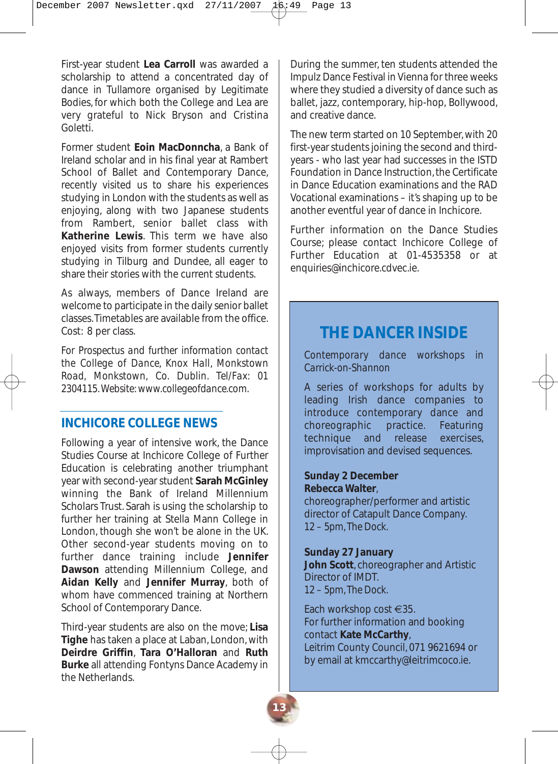First-year student **Lea Carroll** was awarded a scholarship to attend a concentrated day of dance in Tullamore organised by Legitimate Bodies, for which both the College and Lea are very grateful to Nick Bryson and Cristina Goletti.

Former student **Eoin MacDonncha**, a Bank of Ireland scholar and in his final year at Rambert School of Ballet and Contemporary Dance, recently visited us to share his experiences studying in London with the students as well as enjoying, along with two Japanese students from Rambert, senior ballet class with **Katherine Lewis**. This term we have also enjoyed visits from former students currently studying in Tilburg and Dundee, all eager to share their stories with the current students.

As always, members of Dance Ireland are welcome to participate in the daily senior ballet classes.Timetables are available from the office. Cost: 8 per class.

*For Prospectus and further information contact the College of Dance, Knox Hall, Monkstown Road, Monkstown, Co. Dublin. Tel/Fax: 01 2304115. Website: www.collegeofdance.com.*

#### **INCHICORE COLLEGE NEWS**

Following a year of intensive work, the Dance Studies Course at Inchicore College of Further Education is celebrating another triumphant year with second-year student **Sarah McGinley** winning the Bank of Ireland Millennium Scholars Trust. Sarah is using the scholarship to further her training at Stella Mann College in London, though she won't be alone in the UK. Other second-year students moving on to further dance training include **Jennifer Dawson** attending Millennium College, and **Aidan Kelly** and **Jennifer Murray**, both of whom have commenced training at Northern School of Contemporary Dance.

Third-year students are also on the move; **Lisa Tighe** has taken a place at Laban, London, with **Deirdre Griffin**, **Tara O'Halloran** and **Ruth Burke** all attending Fontyns Dance Academy in the Netherlands.

During the summer, ten students attended the Impulz Dance Festival in Vienna for three weeks where they studied a diversity of dance such as ballet, jazz, contemporary, hip-hop, Bollywood, and creative dance.

The new term started on 10 September, with 20 first-year students joining the second and thirdyears - who last year had successes in the ISTD Foundation in Dance Instruction, the Certificate in Dance Education examinations and the RAD Vocational examinations – it's shaping up to be another eventful year of dance in Inchicore.

Further information on the Dance Studies Course; please contact Inchicore College of Further Education at 01-4535358 or at enquiries@inchicore.cdvec.ie.

# **THE DANCER INSIDE**

*Contemporary dance workshops in Carrick-on-Shannon*

A series of workshops for adults by leading Irish dance companies to introduce contemporary dance and choreographic practice. Featuring technique and release exercises, improvisation and devised sequences.

#### **Sunday 2 December Rebecca Walter**,

choreographer/performer and artistic director of Catapult Dance Company. *12 – 5pm, The Dock.*

#### **Sunday 27 January**

**13**

**John Scott**, choreographer and Artistic Director of IMDT. *12 – 5pm, The Dock.*

Each workshop cost €35. For further information and booking contact **Kate McCarthy**, Leitrim County Council, 071 9621694 or by email at kmccarthy@leitrimcoco.ie.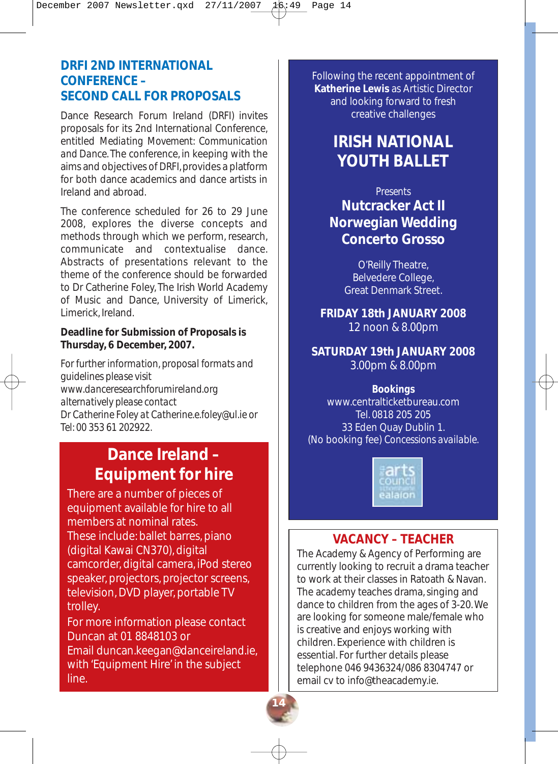# **DRFI 2ND INTERNATIONAL CONFERENCE – SECOND CALL FOR PROPOSALS**

Dance Research Forum Ireland (*DRFI)* invites proposals for its 2nd International Conference, entitled *Mediating Movement: Communication and Dance*. The conference, in keeping with the aims and objectives of *DRFI*, provides a platform for both dance academics and dance artists in Ireland and abroad.

The conference scheduled for 26 to 29 June 2008, explores the diverse concepts and methods through which we perform, research, communicate and contextualise dance. Abstracts of presentations relevant to the theme of the conference should be forwarded to Dr Catherine Foley, The Irish World Academy of Music and Dance, University of Limerick, Limerick, Ireland.

#### **Deadline for Submission of Proposals is Thursday, 6 December, 2007.**

*For further information, proposal formats and guidelines please visit www.danceresearchforumireland.org alternatively please contact Dr Catherine Foley at Catherine.e.foley@ul.ie or Tel: 00 353 61 202922.*

# **Dance Ireland – Equipment for hire**

There are a number of pieces of equipment available for hire to all members at nominal rates. These include: ballet barres, piano (digital Kawai CN370), digital camcorder, digital camera, iPod stereo speaker, projectors, projector screens, television, DVD player, portable TV trolley.

For more information please contact Duncan at 01 8848103 or Email duncan.keegan@danceireland.ie, with 'Equipment Hire' in the subject line.

Following the recent appointment of **Katherine Lewis** as Artistic Director and looking forward to fresh creative challenges

# **IRISH NATIONAL YOUTH BALLET**

# *Presents* **Nutcracker Act II Norwegian Wedding Concerto Grosso**

O'Reilly Theatre, Belvedere College, Great Denmark Street.

**FRIDAY 18th JANUARY 2008** 12 noon & 8.00pm

**SATURDAY 19th JANUARY 2008** 3.00pm & 8.00pm

#### *Bookings*

www.centralticketbureau.com Tel. 0818 205 205 33 Eden Quay Dublin 1. (No booking fee) *Concessions available*.



#### **VACANCY – TEACHER**

The Academy & Agency of Performing are currently looking to recruit a drama teacher to work at their classes in Ratoath & Navan. The academy teaches drama, singing and dance to children from the ages of 3-20. We are looking for someone male/female who is creative and enjoys working with children. Experience with children is essential. For further details please telephone 046 9436324/086 8304747 or email cv to info@theacademy.ie.

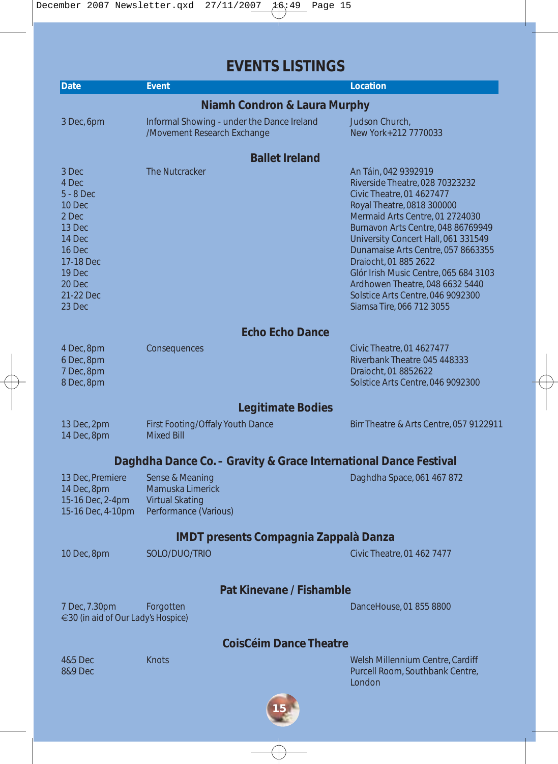**EVENTS LISTINGS**

| Date                                                                                                                                   | <b>Event</b>                                                                    | Location                                                                                                                                                                                                                                                                                                                                                                                                                                        |
|----------------------------------------------------------------------------------------------------------------------------------------|---------------------------------------------------------------------------------|-------------------------------------------------------------------------------------------------------------------------------------------------------------------------------------------------------------------------------------------------------------------------------------------------------------------------------------------------------------------------------------------------------------------------------------------------|
|                                                                                                                                        | <b>Niamh Condron &amp; Laura Murphy</b>                                         |                                                                                                                                                                                                                                                                                                                                                                                                                                                 |
| 3 Dec, 6pm                                                                                                                             | Informal Showing - under the Dance Ireland<br>/Movement Research Exchange       | Judson Church,<br>New York+212 7770033                                                                                                                                                                                                                                                                                                                                                                                                          |
|                                                                                                                                        | <b>Ballet Ireland</b>                                                           |                                                                                                                                                                                                                                                                                                                                                                                                                                                 |
| 3 Dec<br>4 Dec<br>$5 - 8$ Dec<br>10 Dec<br>2 Dec<br>13 Dec<br>14 Dec<br>16 Dec<br>17-18 Dec<br>19 Dec<br>20 Dec<br>21-22 Dec<br>23 Dec | The Nutcracker                                                                  | An Táin, 042 9392919<br>Riverside Theatre, 028 70323232<br>Civic Theatre, 01 4627477<br>Royal Theatre, 0818 300000<br>Mermaid Arts Centre, 01 2724030<br>Burnavon Arts Centre, 048 86769949<br>University Concert Hall, 061 331549<br>Dunamaise Arts Centre, 057 8663355<br>Draiocht, 01 885 2622<br>Glór Irish Music Centre, 065 684 3103<br>Ardhowen Theatre, 048 6632 5440<br>Solstice Arts Centre, 046 9092300<br>Siamsa Tire, 066 712 3055 |
|                                                                                                                                        | <b>Echo Echo Dance</b>                                                          |                                                                                                                                                                                                                                                                                                                                                                                                                                                 |
| 4 Dec, 8pm<br>6 Dec, 8pm<br>7 Dec, 8pm<br>8 Dec, 8pm                                                                                   | Consequences                                                                    | Civic Theatre, 01 4627477<br>Riverbank Theatre 045 448333<br>Draiocht, 01 8852622<br>Solstice Arts Centre, 046 9092300                                                                                                                                                                                                                                                                                                                          |
|                                                                                                                                        | <b>Legitimate Bodies</b>                                                        |                                                                                                                                                                                                                                                                                                                                                                                                                                                 |
| 13 Dec, 2pm<br>14 Dec, 8pm                                                                                                             | First Footing/Offaly Youth Dance<br><b>Mixed Bill</b>                           | Birr Theatre & Arts Centre, 057 9122911                                                                                                                                                                                                                                                                                                                                                                                                         |
|                                                                                                                                        | Daghdha Dance Co. - Gravity & Grace International Dance Festival                |                                                                                                                                                                                                                                                                                                                                                                                                                                                 |
| 13 Dec, Premiere<br>14 Dec, 8pm<br>15-16 Dec, 2-4pm<br>15-16 Dec, 4-10pm                                                               | Sense & Meaning<br>Mamuska Limerick<br>Virtual Skating<br>Performance (Various) | Daghdha Space, 061 467 872                                                                                                                                                                                                                                                                                                                                                                                                                      |
|                                                                                                                                        | <b>IMDT presents Compagnia Zappalà Danza</b>                                    |                                                                                                                                                                                                                                                                                                                                                                                                                                                 |
| 10 Dec, 8pm                                                                                                                            | SOLO/DUO/TRIO                                                                   | Civic Theatre, 01 462 7477                                                                                                                                                                                                                                                                                                                                                                                                                      |
|                                                                                                                                        | Pat Kinevane / Fishamble                                                        |                                                                                                                                                                                                                                                                                                                                                                                                                                                 |
| 7 Dec, 7.30pm<br>€30 (in aid of Our Lady's Hospice)                                                                                    | Forgotten                                                                       | DanceHouse, 01 855 8800                                                                                                                                                                                                                                                                                                                                                                                                                         |
|                                                                                                                                        | <b>CoisCéim Dance Theatre</b>                                                   |                                                                                                                                                                                                                                                                                                                                                                                                                                                 |
| 4&5 Dec<br><b>8&amp;9 Dec</b>                                                                                                          | Knots                                                                           | Welsh Millennium Centre, Cardiff<br>Purcell Room, Southbank Centre,<br>London                                                                                                                                                                                                                                                                                                                                                                   |

 $\overline{\varphi}$